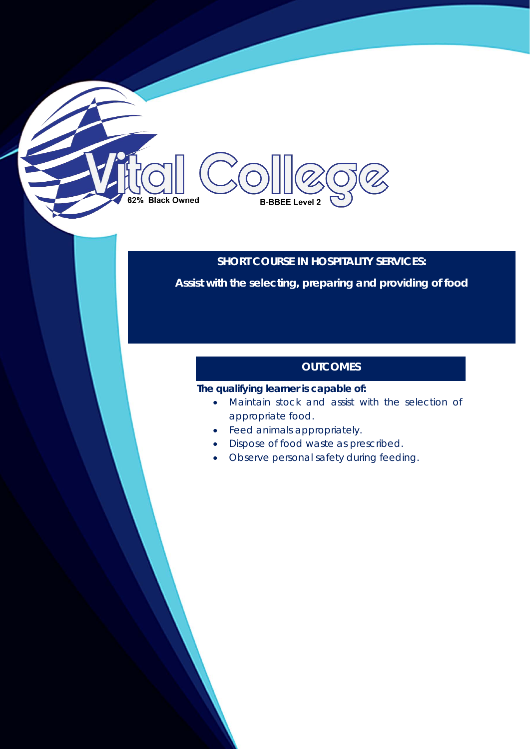# 62% Black Owned **B-BBEE Level 2**

# **SHORT COURSE IN HOSPITALITY SERVICES:**

**Assist with the selecting, preparing and providing of food**

# **OUTCOMES**

# **The qualifying learner is capable of:**

- Maintain stock and assist with the selection of appropriate food.
- Feed animals appropriately.
- Dispose of food waste as prescribed.
- Observe personal safety during feeding.